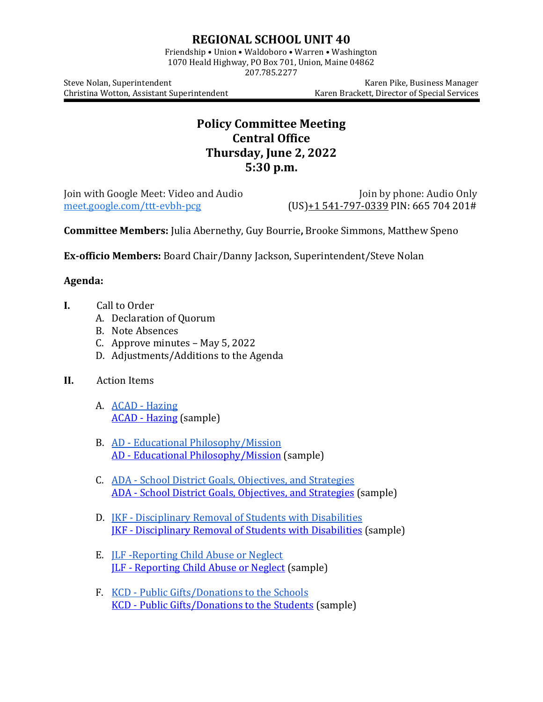## **REGIONAL SCHOOL UNIT 40**

Friendship • Union • Waldoboro • Warren • Washington 1070 Heald Highway, PO Box 701, Union, Maine 04862

207.785.2277

Christina Wotton, Assistant Superintendent

Steve Nolan, Superintendent<br>Christina Wotton, Assistant Superintendent (Karen Brackett, Director of Special Services

## **Policy Committee Meeting Central Office Thursday, June 2, 2022 5:30 p.m.**

Join with Google Meet: Video and Audio Join by phone: Audio Only<br>meet.google.com/ttt-evbh-pcg (US)+1 541-797-0339 PIN: 665 704 201#  $(US)+1$  541[-797-0339](tel:%E2%80%AA+1%20541-797-0339%E2%80%AC) PIN: 665 704 201#

**Committee Members:** Julia Abernethy, Guy Bourrie**,** Brooke Simmons, Matthew Speno

**Ex-officio Members:** Board Chair/Danny Jackson, Superintendent/Steve Nolan

## **Agenda:**

- **I.** Call to Order
	- A. Declaration of Quorum
	- B. Note Absences
	- C. Approve minutes May 5, 2022
	- D. Adjustments/Additions to the Agenda
- **II.** Action Items
	- A. ACAD [Hazing](https://www.msad40.org/files/ACAD.7.17.18.pdf) ACAD - [Hazing](https://drive.google.com/file/d/1j4WjAXnln7NTQvM2RpDaqGBAYFsJbgZV/view?usp=sharing) (sample)
	- B. AD [Educational Philosophy/Mission](https://www.msad40.org/files/AD.7.17.18.corrected_4.pdf) AD - [Educational Philosophy/Mission](https://drive.google.com/file/d/126waoQSs-Dl0-qekHehs50oEx6iN4G4l/view?usp=sharing) (sample)
	- C. ADA [School District Goals, Objectives, and Strategies](https://www.msad40.org/files/ADA.7.17.18.pdf) ADA - [School District Goals, Objectives, and Strategies](https://drive.google.com/file/d/19KzV7BoEoRpFQ9RPWTLwiALuoLo7gM0A/view?usp=sharing) (sample)
	- D. JKF [Disciplinary Removal of Students with Disabilities](https://www.msad40.org/files/JKF.6.21.18.corrected.pdf) JKF - [Disciplinary Removal of Students with Disabilities](https://drive.google.com/file/d/1wiIKr-qqL5HPEIwuhL1ivkyMcYOYBcdL/view?usp=sharing) (sample)
	- E. JLF -[Reporting Child Abuse or Neglect](https://www.msad40.org/files/JLF.7.30.18.corrected.pdf) JLF - [Reporting Child Abuse or Neglect](https://drive.google.com/file/d/1EfPD6gDQaRRMPSP4m1ooYhadgsM2L70z/view?usp=sharing) (sample)
	- F. KCD [Public Gifts/Donations to the Schools](https://www.msad40.org/files/KCD.6.20.18.pdf) KCD - [Public Gifts/Donations to the Students](https://drive.google.com/file/d/1oHYcKeL9-9H7bHZuDauECAcpz0fhp2qf/view?usp=sharing) (sample)